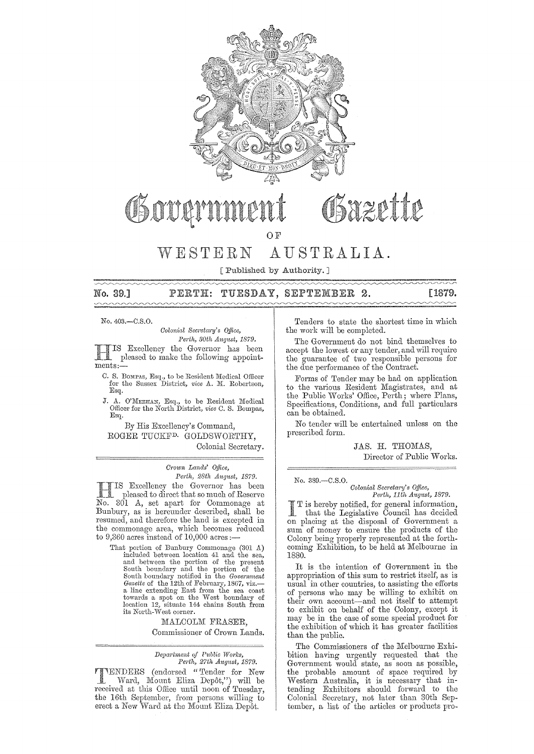

# Gazette OSOUAN

OF

# ESTERN AUSTRALIA.

[Published by Authority. ]

#### TUESDAY, SEPTEMBER 2. [1879. No. 39,]  $\mathtt{PERTH:}$

No. 403.-C.S.O.

*Colonial Secretary's Office,*  $Perth, 30th$  *August, 1879.* 

IS Excellency the Governor has been pleased to make the following appointments:-

- C. S. Bompas, Esq., to be Resident Medical Officer for the Sussex District, *vice* A. M. Robertson, Esq.
- J. A. O'MEEHAN, Esq., to be Resident Medical Officer for the North District, *vice* C. S. Bompas, Esq.

By His Excellency's Command, ROGER TUCKF<sup>D.</sup> GOLDSWORTHY, Colonial Secretary.

> *Cr010n* Lands' *Office, Perth, 28th August, 1879.*

IS Excellency the Governor has been pleased to direct that so much of Reserve No. 301 A, set apart for Commonage at Bunbury, as is hereunder described, shall be resumed, and therefore the land is excepted in the commonage area, which becomes reduced to  $9,360$  acres instead of  $10,000$  acres:

That portion of Bunbury Commonage (301 A)<br>included between location 41 and the sea,<br>and between the portion of the present<br>South boundary and the portion of the<br>South boundary notified in the *Government*<br>Gazette of the 1 a line extending East from the sea coast towards a spot on the West boundary of location 12, situate 144 chains South from its North-West corner.

> MALCOLM FRASER, Commissioner of Crown Lands.

#### *Department of Public Works, Perth, 27th August, 1879.*

TENDERS (endorsed "Tender for New Ward, Mount Eliza Depôt,") will be received at this Office until noon of Tuesday, the 16th September, from persons willing to erect a New Ward at the Mount Eliza Depôt.

Tenders to state the shortest time in which the work will be completed.

The Government do not bind themselves to accept the lowest or any tender, and will require the guarantee of two responsible persons for the due performance of the Contract.

Forms of Tender may be had on application to the various Resident Magistrates, and at the Public Works' Office, Perth; where Plans, Specifications, Conditions, and full particulars can be obtained.

No tender will be entertained unless on the prescribed form.

> JAS. H. THOMAS, Director of Public Works.

No. 389.-C.S.0.

*Colonial Sem'eta1'1J's Office, Perth, 11th* Allgust, *1879.* 

is hereby notified, for geneml information, that the Legislative Council has decided on placing at the disposal of Government a sum of money to ensure the products of the Colony being properly represented at the forthcoming Exhibition, to be held at Melbourne in 1880.

It is the intention of Government in the appropriation of this sum to restrict itself, as is usual in other countries, to assisting the efforts of persons who may be willing to exhibit on their own account-and not itself to attempt to exhibit on behalf of the Colony, except it may be in the case of some special product for the exhibition of which it has greater facilities than the public.

The Commissioners of the Melbourne Exhibition having urgently requested that the Government would state, as soon as possible, the probable amount of space required by Western Australia, it is necessary that intending Exhibitors should forward to the Colonial Secretary, not later than 30th September, a list of the articles or products pro-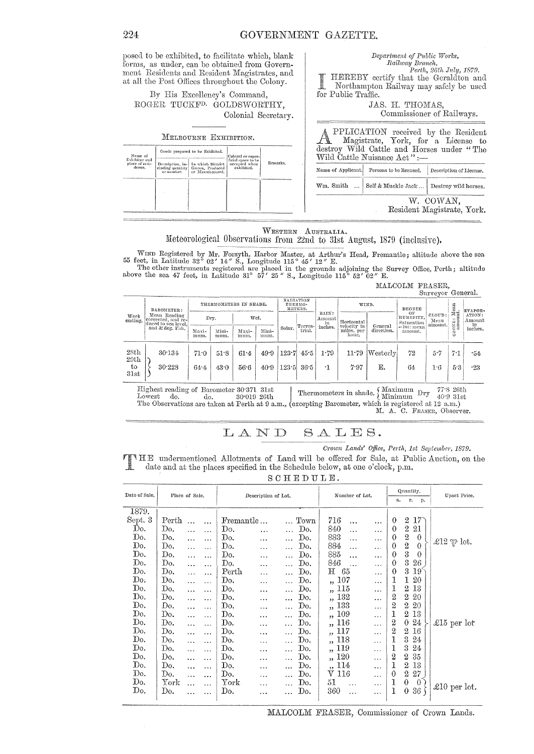| posed to be exhibited, to facilitate which, blank |
|---------------------------------------------------|
| forms, as under, can be obtained from Govern-     |
| ment Residents and Resident Magistrates, and      |
| at all the Post Offices throughout the Colony.    |

By His Excellency's Command, ROGER TUCKF<sup>D</sup> GOLDSWORTHY, Colonial Secretary.

#### MELBOURNE EXHIBITION.

| Name of<br>Exhibitor and<br>place of resi-<br>dence. |            | Goods proposed to be Exhibited.                                                                | Cubical or super-                                 |          |
|------------------------------------------------------|------------|------------------------------------------------------------------------------------------------|---------------------------------------------------|----------|
|                                                      | or number. | Description, in-   In which District<br>cluding quantity   Grown, Produced<br>or Manufactured. | ficial space to be<br>occupied when<br>exhibited. | Remarks. |
|                                                      |            |                                                                                                |                                                   |          |
|                                                      |            |                                                                                                |                                                   |          |

| Railway Branch,                                                                                                                                        |  |
|--------------------------------------------------------------------------------------------------------------------------------------------------------|--|
| Perth, 26th July, 1879.                                                                                                                                |  |
| Fern, 26th July, 1879.<br>HEREBY certify that the Geraldton and<br>Northampton Pail—                                                                   |  |
|                                                                                                                                                        |  |
| Northampton Railway may safely be used                                                                                                                 |  |
|                                                                                                                                                        |  |
| for Public Traffic.                                                                                                                                    |  |
|                                                                                                                                                        |  |
| JAS. H. THOMAS,                                                                                                                                        |  |
| Commissioner of Railways.                                                                                                                              |  |
|                                                                                                                                                        |  |
| PPLICATION received by the Resident<br>Magistrate, York, for a License to<br>destroy Wild Cattle and Horses under "The<br>Wild Cattle Nuisance Act" :- |  |
|                                                                                                                                                        |  |
| Name of Applicant.<br>Persons to be licensed.<br>Description of License.                                                                               |  |
|                                                                                                                                                        |  |

Department of Public Works,

Self & Muckle Jack ... Destroy wild horses.

W. COWAN, Resident Magistrate, York.

 $\mathit{Wm}.$  Smith

 $\ddotsc$ 

#### WESTERN AUSTRALIA. Meteorological Observations from 22nd to 31st August, 1879 (inclusive).

WIND Registered by Mr. Forsyth, Harbor Master, at Arthur's Head, Fremantle; altitude above the sea 55 feet, in Latitude 32° 02' 14" S., Longitude 115° 45' 12" E.<br>The other instruments registered are placed in the grounds

MALCOLM FRASER,

|                 |                                                                                             |               |               |                        |               |        |                                                 |           |                           |                     |                               | Surveyor General.         |                     |                         |
|-----------------|---------------------------------------------------------------------------------------------|---------------|---------------|------------------------|---------------|--------|-------------------------------------------------|-----------|---------------------------|---------------------|-------------------------------|---------------------------|---------------------|-------------------------|
| Week<br>ending. | BAROMETER:<br>Mean Reading<br>corrected, and re-<br>duced to sea level.<br>and 32 deg, Fah. |               |               | THERMOMETERS IN SHADE. |               |        | RADIATION<br>THERMO-<br>METERS.                 | RAIN:     | WIND.                     |                     | DEGREE                        |                           | $\lim_{t\to\infty}$ | EVAPOR-                 |
|                 |                                                                                             |               | Dry.          | Wet.                   |               |        | Amount<br>Terres-                               |           | Horizontal<br>velocity in | General             | ΟF<br>HUMIDITY.<br>Saturation | CLOUD:<br>Mean<br>amount. | ΠĒ<br>RONE          | ATION:<br>Amount<br>in. |
|                 |                                                                                             | Maxi-<br>mum. | Mini-<br>mum. | Maxi-<br>mum.          | Mini-<br>mum. | Solar. | trial.                                          | inches.   | miles, per<br>hour.       | direction.          | $=160$ : mean<br>amount.      |                           | ٥                   | inches.                 |
| 28th<br>29th    | 30.134                                                                                      | 71.0          | 51.8          | 61.4                   | 49.9          |        | $\left  \frac{123\cdot 7}{1.45\cdot 5} \right $ | 1.79      | 11.79                     | $ \text{Westerlv} $ | 72                            | $5 - 7$                   | 7.1                 | -54                     |
| to<br>31st      | 30.228                                                                                      | 64.4          | 43.0          | 56.6                   | 40.9          | 123.5  | 36.5                                            | $\cdot$ 1 | 7.97                      | Ε.                  | 64                            | 1.6                       | 5.3                 | .23                     |

Thermometers in shade.  $\left\{\begin{array}{ll}\text{Maximum}\\\text{Minimum}\end{array}\right.$  Dry Highest reading of Barometer 30.371 31st  $77^\circ\hspace{-3pt}.8$  26th  $_{\text{Lowest}}$ do. 30.019 26th 40.9 31st do. The Observations are taken at Perth at 9 a.m., (excepting Barometer, which is registered at 12 a.m.)

M. A. C. FRASER, Observer.

#### LAND  $S A L E S.$

Crown Lands' Office, Perth, 1st September, 1879.

THE undermentioned Allotments of Land will be offered for Sale, at Public Auction, on the date and at the places specified in the Schedule below, at one o'clock, p.m.

|  |  |  | ٠ |  |  |
|--|--|--|---|--|--|
|  |  |  |   |  |  |

| Date of Sale. | Place of Sale. |           |           | Description of Lot. |           |                  | Number of Lot.                  |           | Quantity.        |                  | Upset Price.    |                 |  |
|---------------|----------------|-----------|-----------|---------------------|-----------|------------------|---------------------------------|-----------|------------------|------------------|-----------------|-----------------|--|
|               |                |           |           |                     | r.<br>a.  |                  | p.                              |           |                  |                  |                 |                 |  |
| 1879.         |                |           |           |                     |           |                  |                                 |           |                  |                  |                 |                 |  |
| Sept. 3       | Perth          | $\cdots$  | $\cdots$  | Fremantle           |           | Town             | 716<br>                         |           | $\theta$         | $\overline{2}$   | $17^-$          |                 |  |
| Do.           | Do.            | $\ddotsc$ | .         | Do.                 |           | Do.<br>$\ddotsc$ | 840<br>$\ddotsc$                | $\ldots$  | $\boldsymbol{0}$ | $\,2$            | 21              |                 |  |
| Do.           | Do.            | $\ddotsc$ | $\ddotsc$ | Do.                 | .         | Do.<br>$\ddotsc$ | 883<br>$\ddotsc$                | $\cdots$  | $\theta$         | $\!2$            | $\theta$        |                 |  |
| Do.           | Do.            | $\ddotsc$ | $\ddotsc$ | Do.                 | .         | Do.<br>$\ldots$  | 884<br>.                        | $\cdots$  | $\theta$         | $\overline{2}$   | $\theta$        | £12 $\psi$ lot. |  |
| Do.           | Do.            | $\ddotsc$ | .         | Do.                 | $\ddotsc$ | Do.              | 885<br>$\ddotsc$                |           | $\theta$         | $\overline{3}$   | $\theta$        |                 |  |
| Do.           | Do.            |           |           | Do.                 | .         | Do.<br>$\ddots$  | 846                             | .         | $\theta$         | 3                | 26              |                 |  |
| Do.           | Do.            | $\cdots$  |           | Perth               | $\ddotsc$ | Do.<br>.         | $\rm{H}$<br>65                  | .         | 0                | 3                | 19 <sup>°</sup> |                 |  |
| $\mathrm{Do}$ | Do.            | $\ddotsc$ | .         | Do.                 |           | Do.<br>$\ddotsc$ | 107<br>$\overline{\phantom{a}}$ |           | 1                | 1                | 20              |                 |  |
| Do.           | Do.            | .         | .         | Do.                 |           | Do.<br>$\cdots$  | ,, 115                          | $\cdots$  | 1                | $\overline{2}$   | 13              |                 |  |
| Do.           | Do.            | $\ddotsc$ | .         | Do.                 | .         | Do.<br>$\cdots$  | 132<br>,                        | $\cdots$  | 2                | $\boldsymbol{2}$ | 20              |                 |  |
| Do.           | Do.            |           | .         | Do.                 | $\cdots$  | Do.              | 133<br>$\overline{\phantom{a}}$ |           | 2                | $\boldsymbol{2}$ | 20              |                 |  |
| Do.           | Do.            | $\ddotsc$ | .         | Do.                 | .         | Do.<br>$\ddotsc$ | ,, 109                          | $\ddots$  | 1                | $\overline{2}$   | 13              |                 |  |
| Do.           | Do.            |           | .         | Do.                 |           | Do.<br>.         | ,, 116                          | $\cdots$  | 2                | $\theta$         | 24              | £15 per lot     |  |
| Do.           | Do.            |           | .         | Do.                 | .         | Do.              | ,, 117                          | $\cdots$  | 2                | $^{2}$           | 16              |                 |  |
| Do.           | Do.            | .         | $\cdots$  | Do.                 | .         | Do.<br>.         | ,, 118                          | $\cdots$  | 1                | 3                | 24              |                 |  |
| Do.           | Do.            | .         | $\ddotsc$ | Do.                 | $\cdots$  | Do.<br>          | ,, 119                          | .         | 1                | 3                | 24              |                 |  |
| Do.           | Do.            |           | .         | Do.                 | .         | Do.<br>$\cdots$  | ,, 120                          | $\ddotsc$ | 2                | 2                | 35              |                 |  |
| Do.           | Do.            | $\ddotsc$ | $\cdots$  | Do.                 | .         | Do.<br>$\ldots$  | ,, 114                          | $\ddotsc$ | 1                | 2                | 13              |                 |  |
| Dó.           | Do.            | .         | $\ddotsc$ | Do.                 | .         | Do.<br>$\ddotsc$ | V 116                           | $\cdots$  | $\theta$         | $\overline{2}$   | 27              |                 |  |
| Do.           | ${\rm York}$   |           | .         | York                | $\cdots$  | Do.              | 51<br>$\ddotsc$                 | $\ldots$  | 1                | $\theta$         | $\theta$        |                 |  |
| Do.           | Do.            |           |           | Do.                 | .         | Do.              | 360<br>$\ddotsc$                | $\cdots$  | 1                | 0                | 36              | £10 per lot.    |  |
|               |                |           |           |                     |           |                  |                                 |           |                  |                  |                 |                 |  |

MALCOLM FRASER, Commissioner of Crown Lands.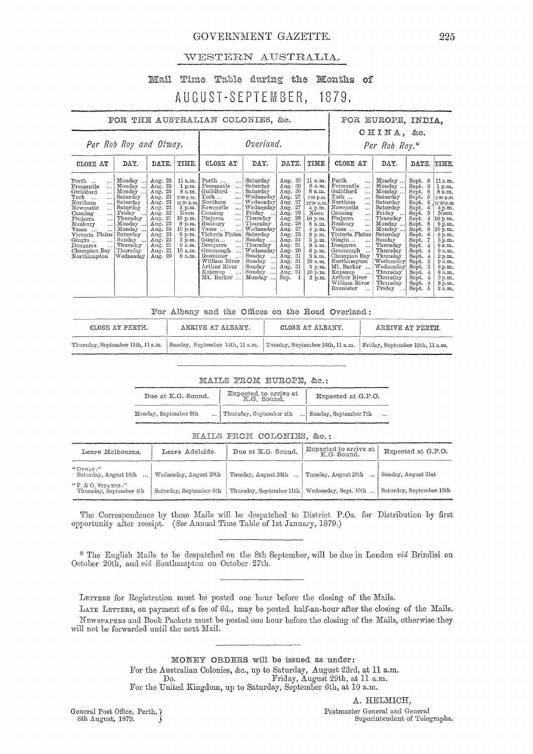# GOVERNMENT GAZETTE.

## WESTERN AUSTRALIA.

## Mail Time Table during the Months of AUGUST-SEPTEMBER, 1879.

| FOR THE AUSTRALIAN COLONIES, &c.                                                                                                                                                                                                                                                         |                                                                                                                                                                     |                                                                                                                                                                   |                                                                                                                                       |                                                                                                                                                                                                                                                                                                                                                                                                                                                             |                                                                                                                                                                                                                                      |                                                                                                                                                                                                                          |                                                                                                                                                                                             | FOR EUROPE, INDIA.                                                                                                                                                                                                                                                                                                                                                                                                                                  |                                                                                                                                                                                                                                            |                                                                                                                                                                                                                                      |                                                                                                                                                                                                                  |
|------------------------------------------------------------------------------------------------------------------------------------------------------------------------------------------------------------------------------------------------------------------------------------------|---------------------------------------------------------------------------------------------------------------------------------------------------------------------|-------------------------------------------------------------------------------------------------------------------------------------------------------------------|---------------------------------------------------------------------------------------------------------------------------------------|-------------------------------------------------------------------------------------------------------------------------------------------------------------------------------------------------------------------------------------------------------------------------------------------------------------------------------------------------------------------------------------------------------------------------------------------------------------|--------------------------------------------------------------------------------------------------------------------------------------------------------------------------------------------------------------------------------------|--------------------------------------------------------------------------------------------------------------------------------------------------------------------------------------------------------------------------|---------------------------------------------------------------------------------------------------------------------------------------------------------------------------------------------|-----------------------------------------------------------------------------------------------------------------------------------------------------------------------------------------------------------------------------------------------------------------------------------------------------------------------------------------------------------------------------------------------------------------------------------------------------|--------------------------------------------------------------------------------------------------------------------------------------------------------------------------------------------------------------------------------------------|--------------------------------------------------------------------------------------------------------------------------------------------------------------------------------------------------------------------------------------|------------------------------------------------------------------------------------------------------------------------------------------------------------------------------------------------------------------|
| Per Rob Roy and Otway.                                                                                                                                                                                                                                                                   |                                                                                                                                                                     |                                                                                                                                                                   |                                                                                                                                       |                                                                                                                                                                                                                                                                                                                                                                                                                                                             | CHINA, &c.<br>Overland.<br>Per Rob Roy.*                                                                                                                                                                                             |                                                                                                                                                                                                                          |                                                                                                                                                                                             |                                                                                                                                                                                                                                                                                                                                                                                                                                                     |                                                                                                                                                                                                                                            |                                                                                                                                                                                                                                      |                                                                                                                                                                                                                  |
| CLOSE AT                                                                                                                                                                                                                                                                                 | DAY.                                                                                                                                                                | DATE.                                                                                                                                                             | TIME.                                                                                                                                 | CLOSE AT                                                                                                                                                                                                                                                                                                                                                                                                                                                    | DAY.                                                                                                                                                                                                                                 | DATE.                                                                                                                                                                                                                    | TIME                                                                                                                                                                                        | CLOSE AT                                                                                                                                                                                                                                                                                                                                                                                                                                            | DAY.                                                                                                                                                                                                                                       | DATE.                                                                                                                                                                                                                                | TIME.                                                                                                                                                                                                            |
| Perth<br>$\ddotsc$<br>Fremantle<br>$\cdots$<br>Guildford<br>York<br>$\cdots$<br>Northam<br>Newcastle<br>$\ddotsc$<br>Canning<br>Pinjarra<br>$\ddotsc$<br>Bunbury<br>$\ddotsc$<br>Vasse<br>$\ddotsc$<br>Victoria Plains<br>Gingin<br>$\ddotsc$<br>Dongarra<br>Champion Bay<br>Northampton | Monday<br>Monday<br>Monday<br>Saturday<br>Saturday<br>Saturday<br>Friday<br>Thursday<br>Monday<br>Monday<br>Saturday<br>Sunday<br>Thursday<br>Thursday<br>Wednesdav | Aug. 25<br>Aug. 25<br>Aug. 25<br>Aug. 23<br>Aug. 23<br>Aug. 23<br>Aug. 22<br>Aug. 21<br>Aug. 25<br>Aug. 25<br>Aug. 23<br>Aug. 24<br>Aug. 21<br>Aug. 21<br>Aug. 20 | 1 p.m.<br>8 a.m.<br>2.30 p.m.<br>Noon<br>10 p.m.<br>$9 \text{ p.m.}$<br>10 p.m. i<br>8 p.m.<br>3 p.m.<br>9 a.m.<br>$10$ a.m.<br>9a.m. | 11 a.m. $ $ Perth<br>$\ddotsc$<br>Fremantle<br>$\ddotsc$<br>Guildford<br>$\ddotsc$<br>$\rm{York} \dots$<br>$\ddotsc$<br>12:30 p.m. Northam<br>$\ddotsc$<br>4 p.m.   Newcastle<br>$\ddotsc$<br>Canning<br>$\ddotsc$<br>Pinjarra<br>$\cdots$<br>Bunbury<br>$\ddotsc$<br>Vasse<br>Victoria Plains<br>Gingin<br>$\ddotsc$<br>Dongarra<br>$\ddotsc$<br>Greenough<br>$\ddots$<br>Bannister<br>$\ddotsc$<br>William River<br>Arthur River<br>Kojonup<br>Mt. Barker | Saturday<br>Saturday<br>Saturday<br>Wednesday<br>Wednesday<br>Wednesday<br>Friday<br>Thursday<br>Thursday<br>Wednesday<br>Saturday<br>Sunday<br>Thursday<br>Wednesday<br>Sunday<br>اا<br>Sunday<br>ا ا<br>Sunday<br>Sunday<br>Monday | Aug. $30$<br>Aug. 30<br>Aug. 30<br>Aug. 27<br>Aug. 27<br>27<br>Aug.<br>Aug. 29<br>-28<br>Aug.<br>Aug. 28<br>Aug. 27<br>Aug. 23<br>Aug. 24<br>Aug. 21<br>Aug. 20<br>Aug. 31<br>Aug. 31<br>- 31<br>Aug.<br>Aug. 31<br>Sep. | 11 a.m. Perth<br>8 a.m.<br>8 a.m.<br>230 p.m.<br>4 p.m.<br>Noon<br>10 p.m.<br>8 a.m.<br>$4$ p.m.<br>8 p.m.<br>3 p.m.<br>9a.m.<br>6 p.m.<br>3 a.m.<br>10 a.m.<br>3 p.m.<br>10 p.m.<br>3 p.m. | <br>Fremantle<br>$\ldots$<br>Guildford<br>$\frac{d}{d}$<br>York<br>$\cdots$<br>12.30 p.m. Northam<br>$\ddotsc$<br>Newcastle<br>$\ddotsc$<br>Canning<br>$\cdots$<br>Pinjarra<br>$\cdots$<br>Bunbury<br>$\ddotsc$<br>Vasse<br>$\cdots$<br>Victoria Plains<br>Gingin<br>$\ddotsc$<br>Dongarra<br>$\cdots$<br>Greenough<br>Champion Bay<br>Northampton<br>Mt. Barker<br>Kojonup<br>$\ddotsc$<br>Arthur River<br>William River<br>Bannister<br>$\ddotsc$ | Monday<br>Monday<br>Monday<br>Saturday<br>Saturday<br>Saturday<br>Friday<br>Thursday<br>Monday<br>Monday<br>Saturday<br>Sunday<br>Thursday<br>Thursday<br>Thursday<br>Wednesday<br>Wednesday<br>Thursday<br>Thursday<br>Thursday<br>Friday | Sept.<br>8<br>8<br>Sept.<br>Sept.<br>8<br>Sept.<br>6<br>Sept.<br>6<br>Sept.<br>Sept.<br>5.<br>Sept.<br>Sept.<br>Sept.<br>8<br>Sept.<br>6<br>Sept.<br>Sept.<br>Sept.<br>Sept.<br>Sept.<br>Sept.<br>Sept.<br>Sept.<br>Sept.<br>Sept. 5 | 11a.m.<br>1 p.m.<br>8 a.m.<br>2.30 p.m<br>12'30 p.m<br>4 p.m.<br>Noon<br>10 p.m.<br>9 p.m.<br>10 p.m.<br>8 p.m.<br>3 p.m.<br>9a.m.<br>9 a.m.<br>2 p.m.<br>9 a.m.<br>6 p.m.<br>8 a.m.<br>3 p.m.<br>8 p.m.<br>2a.m |

For Albany and the Offices on the Road Overland:

| CLOSE AT PERTH.                   | ARRIVE AT ALBANY.               | CLOSE AT ALBANY.                                                   | ARRIVE AT PERTH. |
|-----------------------------------|---------------------------------|--------------------------------------------------------------------|------------------|
| Thursday, September 11th, 11 a.m. | Sunday, September 14th, 11 a.m. | Tuesday, September 16th, 11 a.m.   Friday, September 19th, 11 a.m. |                  |

#### MAILS FROM EUROPE, &c.:

| Due at K.G. Sound.    | Expected to arrive at K.G. Sound. | Expected at G.P.O.                |  |  |  |  |
|-----------------------|-----------------------------------|-----------------------------------|--|--|--|--|
| Monday, September 8th | Thursday, September 4th           | Sunday, September 7th<br>$\cdots$ |  |  |  |  |

#### MAILS FROM COLONIES, &c.:

| Leave Melbourne.                                   | Leave Adelaide.         | Due at K.G. Sound.       | Expected to arrive at<br>K.G. Sound. | Expected at G.P.O.       |
|----------------------------------------------------|-------------------------|--------------------------|--------------------------------------|--------------------------|
| $^{\prime\prime}$ OTWAY:"<br>Saturday, August 16th | Wednesday, August 20th  | Tuesday, August 26th     | Tuesday, August 26th                 | Sunday, August 31st      |
| $"P. \& O.$ STEAMER:"<br>Thursday, September 4th   | Saturday, September 6th | Thursday, September 11th | Wednesday, Sept. 10th                | Saturday, September 13th |

The Correspondence by these Mails will be despatched to District P.Os. for Distribution by first opportunity after receipt. (See Annual Time Table of 1st January, 1879.)

\* The English Mails to be despatched on the 8th September, will be due in London vid Brindisi on October 20th, and vid Southampton on October 27th.

LETTERS for Registration must be posted one hour before the closing of the Mails.

LATE LETTERS, on payment of a fee of 6d., may be posted half-an-hour after the closing of the Mails. NEWSPAPERS and Book Packets must be posted one hour before the closing of the Mails, otherwise they will not be forwarded until the next Mail.

> MONEY ORDERS will be issued as under: For the Australian Colonies, &c., up to Saturday, August 23rd, at 11 a.m. Friday, August 29th, at 11 a.m. Do. For the United Kingdom, up to Saturday, September 6th, at 10 a.m.

General Post Office, Perth,  $\chi$ 8th August, 1879.

A. HELMICH, Postmaster General and General Superintendent of Telegraphs.